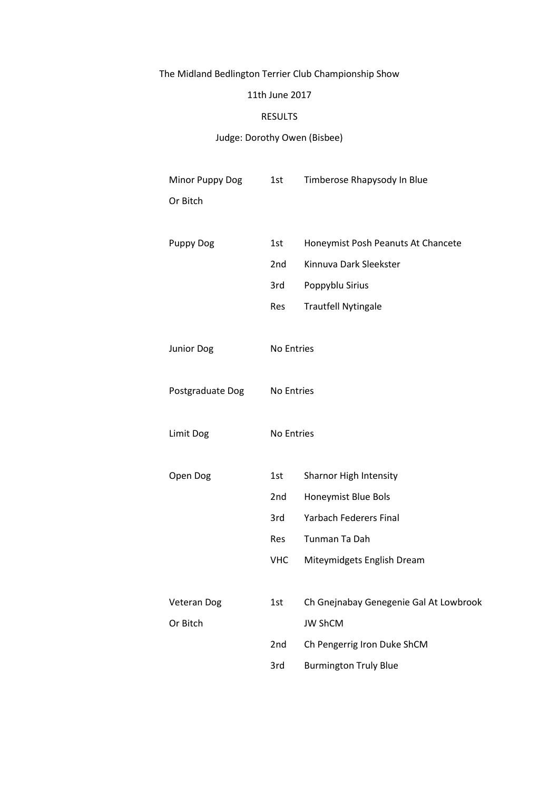# The Midland Bedlington Terrier Club Championship Show

## 11th June 2017

## RESULTS

## Judge: Dorothy Owen (Bisbee)

| Minor Puppy Dog   | 1st             | Timberose Rhapysody In Blue            |
|-------------------|-----------------|----------------------------------------|
| Or Bitch          |                 |                                        |
|                   |                 |                                        |
| <b>Puppy Dog</b>  | 1st             | Honeymist Posh Peanuts At Chancete     |
|                   | 2 <sub>nd</sub> | Kinnuva Dark Sleekster                 |
|                   | 3rd             | Poppyblu Sirius                        |
|                   | Res             | <b>Trautfell Nytingale</b>             |
|                   |                 |                                        |
| <b>Junior Dog</b> | No Entries      |                                        |
|                   |                 |                                        |
| Postgraduate Dog  | No Entries      |                                        |
|                   |                 |                                        |
| Limit Dog         | No Entries      |                                        |
|                   |                 |                                        |
| Open Dog          | 1st             | Sharnor High Intensity                 |
|                   | 2nd             | Honeymist Blue Bols                    |
|                   | 3rd             | <b>Yarbach Federers Final</b>          |
|                   | Res             | Tunman Ta Dah                          |
|                   | <b>VHC</b>      | Miteymidgets English Dream             |
|                   |                 |                                        |
| Veteran Dog       | 1st             | Ch Gnejnabay Genegenie Gal At Lowbrook |
| Or Bitch          |                 | <b>JW ShCM</b>                         |
|                   | 2nd             | Ch Pengerrig Iron Duke ShCM            |
|                   | 3rd             | <b>Burmington Truly Blue</b>           |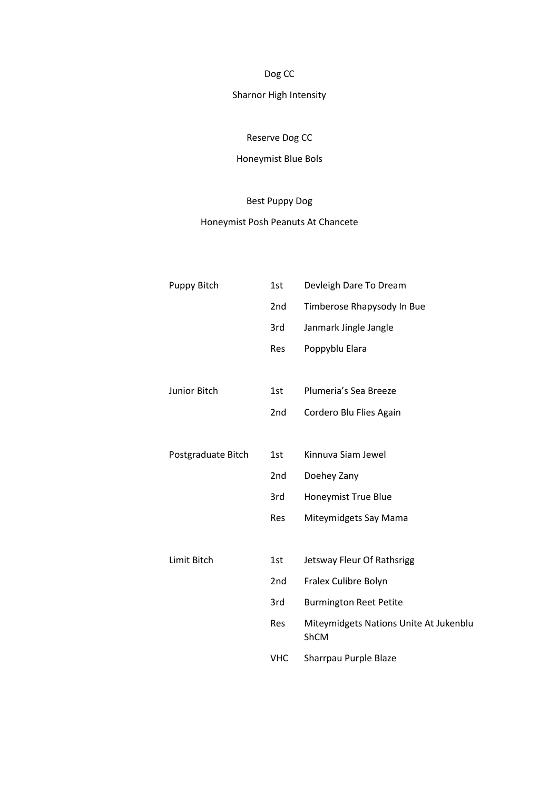Dog CC

## Sharnor High Intensity

## Reserve Dog CC

## Honeymist Blue Bols

## Best Puppy Dog

## Honeymist Posh Peanuts At Chancete

| Puppy Bitch        | 1st             | Devleigh Dare To Dream                         |
|--------------------|-----------------|------------------------------------------------|
|                    | 2nd             | Timberose Rhapysody In Bue                     |
|                    | 3rd             | Janmark Jingle Jangle                          |
|                    | Res             | Poppyblu Elara                                 |
|                    |                 |                                                |
| Junior Bitch       | 1st             | Plumeria's Sea Breeze                          |
|                    | 2nd             | Cordero Blu Flies Again                        |
|                    |                 |                                                |
| Postgraduate Bitch | 1st             | Kinnuva Siam Jewel                             |
|                    | 2nd             | Doehey Zany                                    |
|                    | 3rd             | Honeymist True Blue                            |
|                    | Res             | Miteymidgets Say Mama                          |
|                    |                 |                                                |
| Limit Bitch        | 1st             | Jetsway Fleur Of Rathsrigg                     |
|                    | 2 <sub>nd</sub> | Fralex Culibre Bolyn                           |
|                    | 3rd             | <b>Burmington Reet Petite</b>                  |
|                    | Res             | Miteymidgets Nations Unite At Jukenblu<br>ShCM |
|                    | <b>VHC</b>      | Sharrpau Purple Blaze                          |